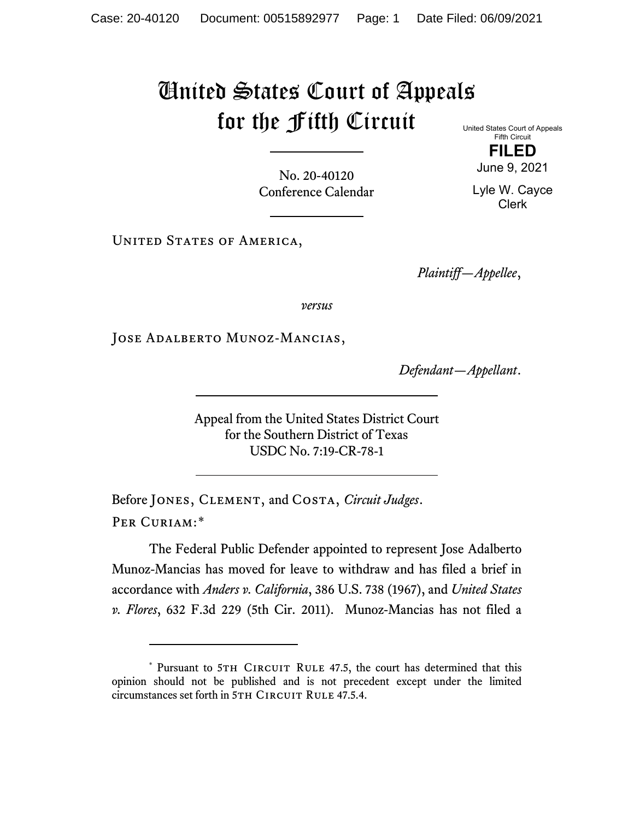## United States Court of Appeals for the Fifth Circuit

United States Court of Appeals Fifth Circuit

No. 20-40120 Conference Calendar

UNITED STATES OF AMERICA,

*Plaintiff—Appellee*,

*versus*

Jose Adalberto Munoz-Mancias,

*Defendant—Appellant*.

Appeal from the United States District Court for the Southern District of Texas USDC No. 7:19-CR-78-1

Before Jones, Clement, and Costa, *Circuit Judges*. Per Curiam:[\\*](#page-0-0)

The Federal Public Defender appointed to represent Jose Adalberto Munoz-Mancias has moved for leave to withdraw and has filed a brief in accordance with *Anders v. California*, 386 U.S. 738 (1967), and *United States v. Flores*, 632 F.3d 229 (5th Cir. 2011). Munoz-Mancias has not filed a

**FILED** June 9, 2021

Lyle W. Cayce Clerk

<span id="page-0-0"></span><sup>\*</sup> Pursuant to 5TH CIRCUIT RULE 47.5, the court has determined that this opinion should not be published and is not precedent except under the limited circumstances set forth in 5TH CIRCUIT RULE 47.5.4.